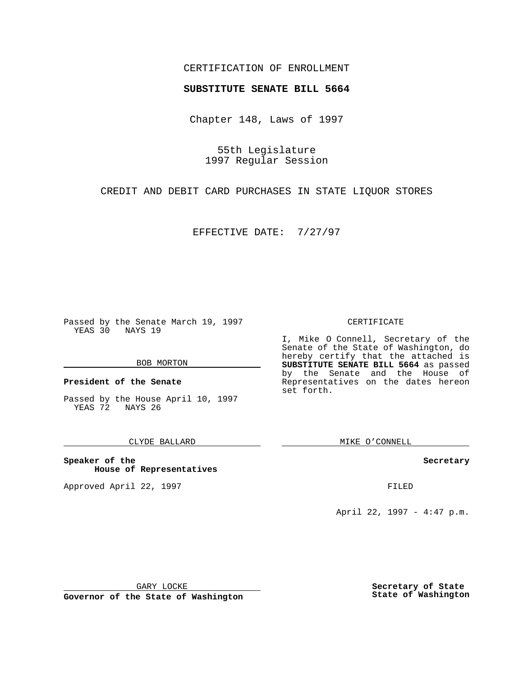### CERTIFICATION OF ENROLLMENT

# **SUBSTITUTE SENATE BILL 5664**

Chapter 148, Laws of 1997

55th Legislature 1997 Regular Session

CREDIT AND DEBIT CARD PURCHASES IN STATE LIQUOR STORES

EFFECTIVE DATE: 7/27/97

Passed by the Senate March 19, 1997 YEAS 30 NAYS 19

#### BOB MORTON

**President of the Senate**

Passed by the House April 10, 1997 YEAS 72 NAYS 26

### CLYDE BALLARD

**Speaker of the House of Representatives**

Approved April 22, 1997 **FILED** 

#### CERTIFICATE

I, Mike O Connell, Secretary of the Senate of the State of Washington, do hereby certify that the attached is **SUBSTITUTE SENATE BILL 5664** as passed by the Senate and the House of Representatives on the dates hereon set forth.

MIKE O'CONNELL

#### **Secretary**

April 22, 1997 - 4:47 p.m.

GARY LOCKE

**Governor of the State of Washington**

**Secretary of State State of Washington**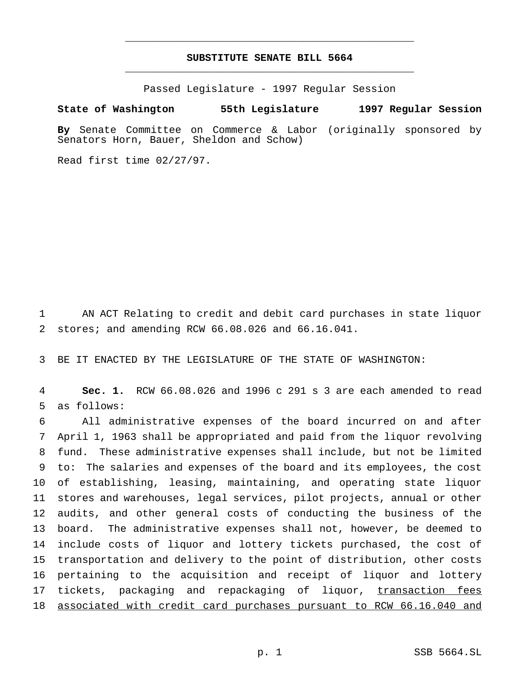## **SUBSTITUTE SENATE BILL 5664** \_\_\_\_\_\_\_\_\_\_\_\_\_\_\_\_\_\_\_\_\_\_\_\_\_\_\_\_\_\_\_\_\_\_\_\_\_\_\_\_\_\_\_\_\_\_\_

\_\_\_\_\_\_\_\_\_\_\_\_\_\_\_\_\_\_\_\_\_\_\_\_\_\_\_\_\_\_\_\_\_\_\_\_\_\_\_\_\_\_\_\_\_\_\_

Passed Legislature - 1997 Regular Session

#### **State of Washington 55th Legislature 1997 Regular Session**

**By** Senate Committee on Commerce & Labor (originally sponsored by Senators Horn, Bauer, Sheldon and Schow)

Read first time 02/27/97.

 AN ACT Relating to credit and debit card purchases in state liquor stores; and amending RCW 66.08.026 and 66.16.041.

BE IT ENACTED BY THE LEGISLATURE OF THE STATE OF WASHINGTON:

 **Sec. 1.** RCW 66.08.026 and 1996 c 291 s 3 are each amended to read as follows:

 All administrative expenses of the board incurred on and after April 1, 1963 shall be appropriated and paid from the liquor revolving fund. These administrative expenses shall include, but not be limited to: The salaries and expenses of the board and its employees, the cost of establishing, leasing, maintaining, and operating state liquor stores and warehouses, legal services, pilot projects, annual or other audits, and other general costs of conducting the business of the board. The administrative expenses shall not, however, be deemed to include costs of liquor and lottery tickets purchased, the cost of transportation and delivery to the point of distribution, other costs pertaining to the acquisition and receipt of liquor and lottery 17 tickets, packaging and repackaging of liquor, transaction fees associated with credit card purchases pursuant to RCW 66.16.040 and